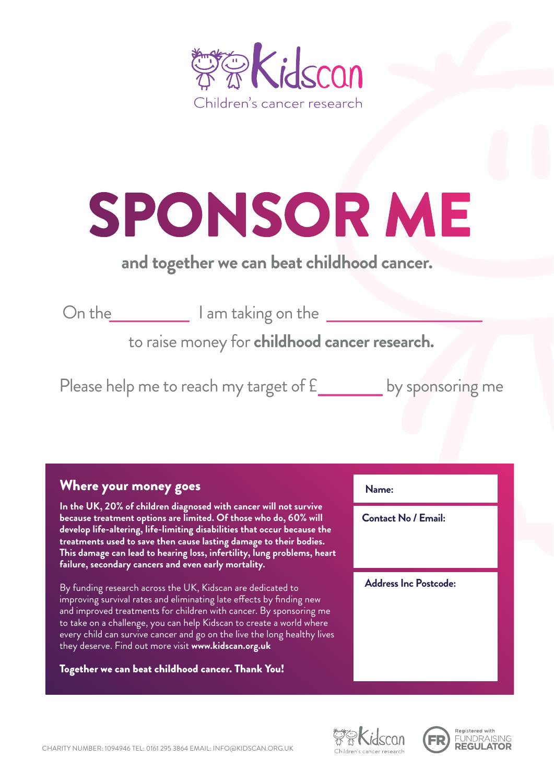

## SPONSOR ME

## *and together we can beat childhood cancer.*

On the **I am taking on the Line 1** 

to raise money for *childhood cancer research.*

Please help me to reach my target of £\_\_\_\_\_\_\_ by sponsoring me

## Where your money goes

*In the UK, 20% of children diagnosed with cancer will not survive because treatment options are limited. Of those who do, 60% will develop life-altering, life-limiting disabilities that occur because the treatments used to save then cause lasting damage to their bodies. This damage can lead to hearing loss, infertility, lung problems, heart failure, secondary cancers and even early mortality.* 

By funding research across the UK, Kidscan are dedicated to improving survival rates and eliminating late effects by finding new and improved treatments for children with cancer. By sponsoring me to take on a challenge, you can help Kidscan to create a world where every child can survive cancer and go on the live the long healthy lives they deserve. Find out more visit *www.kidscan.org.uk*

## Together we can beat childhood cancer. Thank You!

*Name: Contact No / Email: Address Inc Postcode:*



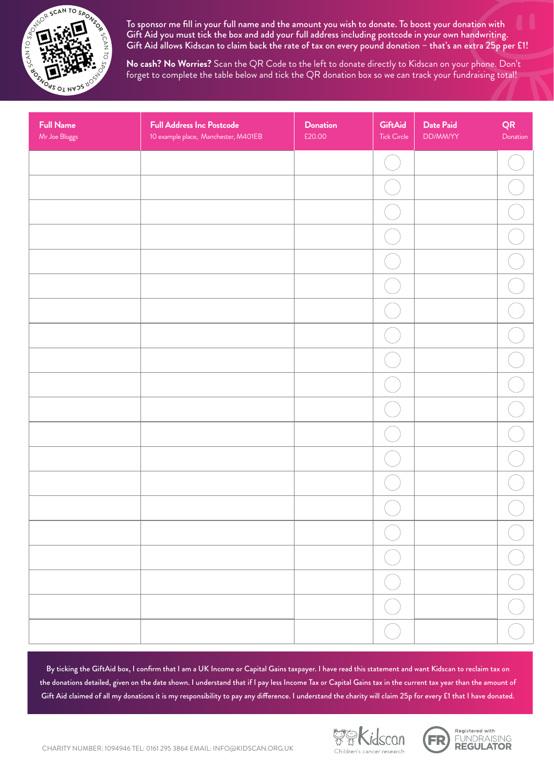

To sponsor me fill in your full name and the amount you wish to donate. To boost your donation with Gift Aid you must tick the box and add your full address including postcode in your own handwriting. Gift Aid allows Kidscan to claim back the rate of tax on every pound donation – that's an extra 25p per £1!

*No cash? No Worries?* Scan the QR Code to the left to donate directly to Kidscan on your phone. Don't forget to complete the table below and tick the QR donation box so we can track your fundraising total!

| <b>Full Name</b><br>Mr Joe Bloggs | <b>Full Address Inc Postcode</b><br>10 example place, Manchester, M401EB | <b>Donation</b><br>£20.00 | <b>GiftAid</b><br>Tick Circle | <b>Date Paid</b><br>DD/MM/YY | QR<br>Donation |
|-----------------------------------|--------------------------------------------------------------------------|---------------------------|-------------------------------|------------------------------|----------------|
|                                   |                                                                          |                           |                               |                              |                |
|                                   |                                                                          |                           |                               |                              |                |
|                                   |                                                                          |                           |                               |                              |                |
|                                   |                                                                          |                           |                               |                              |                |
|                                   |                                                                          |                           |                               |                              |                |
|                                   |                                                                          |                           |                               |                              |                |
|                                   |                                                                          |                           |                               |                              |                |
|                                   |                                                                          |                           |                               |                              |                |
|                                   |                                                                          |                           |                               |                              |                |
|                                   |                                                                          |                           |                               |                              |                |
|                                   |                                                                          |                           |                               |                              |                |
|                                   |                                                                          |                           |                               |                              |                |
|                                   |                                                                          |                           |                               |                              |                |
|                                   |                                                                          |                           |                               |                              |                |
|                                   |                                                                          |                           |                               |                              |                |
|                                   |                                                                          |                           |                               |                              |                |
|                                   |                                                                          |                           |                               |                              |                |
|                                   |                                                                          |                           |                               |                              |                |
|                                   |                                                                          |                           |                               |                              |                |
|                                   |                                                                          |                           |                               |                              |                |

By ticking the GiftAid box, I confirm that I am a UK Income or Capital Gains taxpayer. I have read this statement and want Kidscan to reclaim tax on the donations detailed, given on the date shown. I understand that if I pay less Income Tax or Capital Gains tax in the current tax year than the amount of Gift Aid claimed of all my donations it is my responsibility to pay any difference. I understand the charity will claim 25p for every £1 that I have donated.